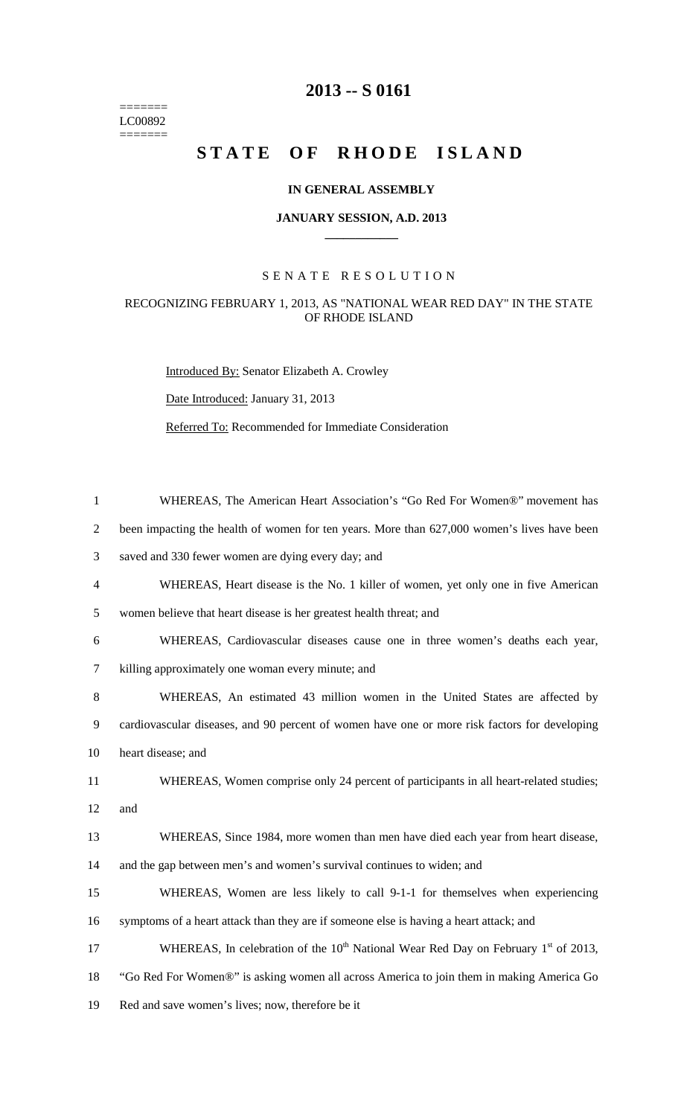$=$ LC00892  $=$ 

## **2013 -- S 0161**

# STATE OF RHODE ISLAND

#### **IN GENERAL ASSEMBLY**

#### **JANUARY SESSION, A.D. 2013 \_\_\_\_\_\_\_\_\_\_\_\_**

### S E N A T E R E S O L U T I O N

#### RECOGNIZING FEBRUARY 1, 2013, AS "NATIONAL WEAR RED DAY" IN THE STATE OF RHODE ISLAND

Introduced By: Senator Elizabeth A. Crowley

Date Introduced: January 31, 2013

Referred To: Recommended for Immediate Consideration

| $\mathbf{1}$   | WHEREAS, The American Heart Association's "Go Red For Women®" movement has                                 |
|----------------|------------------------------------------------------------------------------------------------------------|
| $\overline{2}$ | been impacting the health of women for ten years. More than 627,000 women's lives have been                |
| 3              | saved and 330 fewer women are dying every day; and                                                         |
| $\overline{4}$ | WHEREAS, Heart disease is the No. 1 killer of women, yet only one in five American                         |
| 5              | women believe that heart disease is her greatest health threat; and                                        |
| 6              | WHEREAS, Cardiovascular diseases cause one in three women's deaths each year,                              |
| $\tau$         | killing approximately one woman every minute; and                                                          |
| $8\phantom{.}$ | WHEREAS, An estimated 43 million women in the United States are affected by                                |
| 9              | cardiovascular diseases, and 90 percent of women have one or more risk factors for developing              |
| 10             | heart disease; and                                                                                         |
| 11             | WHEREAS, Women comprise only 24 percent of participants in all heart-related studies;                      |
| 12             | and                                                                                                        |
| 13             | WHEREAS, Since 1984, more women than men have died each year from heart disease,                           |
| 14             | and the gap between men's and women's survival continues to widen; and                                     |
| 15             | WHEREAS, Women are less likely to call 9-1-1 for themselves when experiencing                              |
| 16             | symptoms of a heart attack than they are if someone else is having a heart attack; and                     |
| 17             | WHEREAS, In celebration of the 10 <sup>th</sup> National Wear Red Day on February 1 <sup>st</sup> of 2013, |
| 18             | "Go Red For Women®" is asking women all across America to join them in making America Go                   |
| 19             | Red and save women's lives; now, therefore be it                                                           |